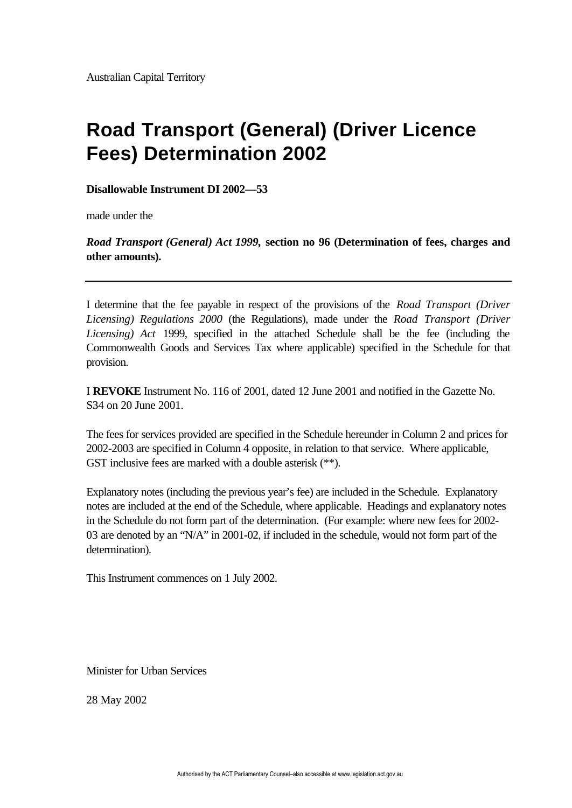## **Road Transport (General) (Driver Licence Fees) Determination 2002**

**Disallowable Instrument DI 2002—53**

made under the

*Road Transport (General) Act 1999,* **section no 96 (Determination of fees, charges and other amounts).**

I determine that the fee payable in respect of the provisions of the *Road Transport (Driver Licensing) Regulations 2000* (the Regulations), made under the *Road Transport (Driver Licensing) Act* 1999, specified in the attached Schedule shall be the fee (including the Commonwealth Goods and Services Tax where applicable) specified in the Schedule for that provision.

I **REVOKE** Instrument No. 116 of 2001, dated 12 June 2001 and notified in the Gazette No. S34 on 20 June 2001.

The fees for services provided are specified in the Schedule hereunder in Column 2 and prices for 2002-2003 are specified in Column 4 opposite, in relation to that service. Where applicable, GST inclusive fees are marked with a double asterisk (\*\*).

Explanatory notes (including the previous year's fee) are included in the Schedule. Explanatory notes are included at the end of the Schedule, where applicable. Headings and explanatory notes in the Schedule do not form part of the determination. (For example: where new fees for 2002- 03 are denoted by an "N/A" in 2001-02, if included in the schedule, would not form part of the determination).

This Instrument commences on 1 July 2002.

Minister for Urban Services

28 May 2002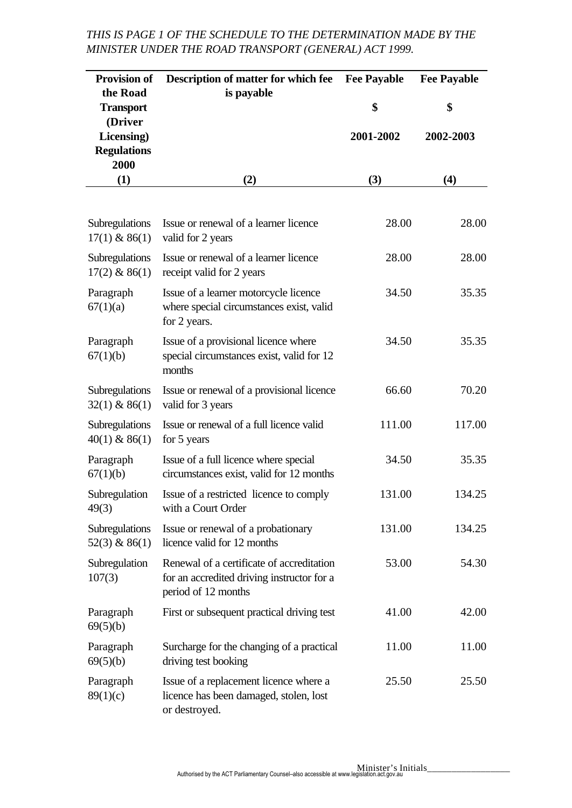## *THIS IS PAGE 1 OF THE SCHEDULE TO THE DETERMINATION MADE BY THE MINISTER UNDER THE ROAD TRANSPORT (GENERAL) ACT 1999.*

| <b>Provision of</b><br>the Road                     | Description of matter for which fee<br>is payable                                                              | <b>Fee Payable</b> | <b>Fee Payable</b> |
|-----------------------------------------------------|----------------------------------------------------------------------------------------------------------------|--------------------|--------------------|
| <b>Transport</b>                                    |                                                                                                                | \$                 | \$                 |
| (Driver<br>Licensing)<br><b>Regulations</b><br>2000 |                                                                                                                | 2001-2002          | 2002-2003          |
| (1)                                                 | (2)                                                                                                            | (3)                | (4)                |
|                                                     |                                                                                                                |                    |                    |
| Subregulations<br>$17(1)$ & 86(1)                   | Issue or renewal of a learner licence<br>valid for 2 years                                                     | 28.00              | 28.00              |
| Subregulations<br>$17(2)$ & 86(1)                   | Issue or renewal of a learner licence<br>receipt valid for 2 years                                             | 28.00              | 28.00              |
| Paragraph<br>67(1)(a)                               | Issue of a learner motorcycle licence<br>where special circumstances exist, valid<br>for 2 years.              | 34.50              | 35.35              |
| Paragraph<br>67(1)(b)                               | Issue of a provisional licence where<br>special circumstances exist, valid for 12<br>months                    | 34.50              | 35.35              |
| Subregulations<br>$32(1)$ & 86(1)                   | Issue or renewal of a provisional licence<br>valid for 3 years                                                 | 66.60              | 70.20              |
| Subregulations<br>$40(1)$ & 86(1)                   | Issue or renewal of a full licence valid<br>for 5 years                                                        | 111.00             | 117.00             |
| Paragraph<br>67(1)(b)                               | Issue of a full licence where special<br>circumstances exist, valid for 12 months                              | 34.50              | 35.35              |
| Subregulation<br>49(3)                              | Issue of a restricted licence to comply<br>with a Court Order                                                  | 131.00             | 134.25             |
| Subregulations<br>$52(3)$ & 86(1)                   | Issue or renewal of a probationary<br>licence valid for 12 months                                              | 131.00             | 134.25             |
| Subregulation<br>107(3)                             | Renewal of a certificate of accreditation<br>for an accredited driving instructor for a<br>period of 12 months | 53.00              | 54.30              |
| Paragraph<br>69(5)(b)                               | First or subsequent practical driving test                                                                     | 41.00              | 42.00              |
| Paragraph<br>69(5)(b)                               | Surcharge for the changing of a practical<br>driving test booking                                              | 11.00              | 11.00              |
| Paragraph<br>89(1)(c)                               | Issue of a replacement licence where a<br>licence has been damaged, stolen, lost<br>or destroyed.              | 25.50              | 25.50              |